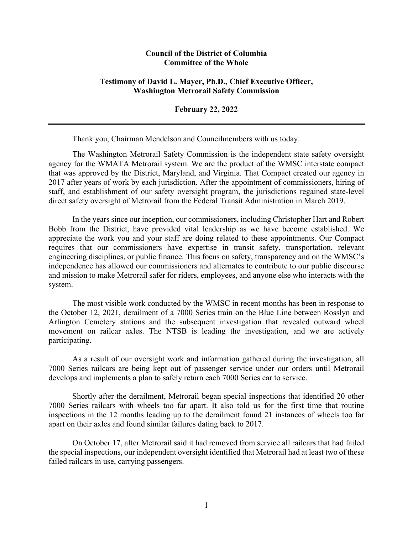## **Council of the District of Columbia Committee of the Whole**

## **Testimony of David L. Mayer, Ph.D., Chief Executive Officer, Washington Metrorail Safety Commission**

**February 22, 2022**

Thank you, Chairman Mendelson and Councilmembers with us today.

The Washington Metrorail Safety Commission is the independent state safety oversight agency for the WMATA Metrorail system. We are the product of the WMSC interstate compact that was approved by the District, Maryland, and Virginia. That Compact created our agency in 2017 after years of work by each jurisdiction. After the appointment of commissioners, hiring of staff, and establishment of our safety oversight program, the jurisdictions regained state-level direct safety oversight of Metrorail from the Federal Transit Administration in March 2019.

In the years since our inception, our commissioners, including Christopher Hart and Robert Bobb from the District, have provided vital leadership as we have become established. We appreciate the work you and your staff are doing related to these appointments. Our Compact requires that our commissioners have expertise in transit safety, transportation, relevant engineering disciplines, or public finance. This focus on safety, transparency and on the WMSC's independence has allowed our commissioners and alternates to contribute to our public discourse and mission to make Metrorail safer for riders, employees, and anyone else who interacts with the system.

The most visible work conducted by the WMSC in recent months has been in response to the October 12, 2021, derailment of a 7000 Series train on the Blue Line between Rosslyn and Arlington Cemetery stations and the subsequent investigation that revealed outward wheel movement on railcar axles. The NTSB is leading the investigation, and we are actively participating.

As a result of our oversight work and information gathered during the investigation, all 7000 Series railcars are being kept out of passenger service under our orders until Metrorail develops and implements a plan to safely return each 7000 Series car to service.

Shortly after the derailment, Metrorail began special inspections that identified 20 other 7000 Series railcars with wheels too far apart. It also told us for the first time that routine inspections in the 12 months leading up to the derailment found 21 instances of wheels too far apart on their axles and found similar failures dating back to 2017.

On October 17, after Metrorail said it had removed from service all railcars that had failed the special inspections, our independent oversight identified that Metrorail had at least two of these failed railcars in use, carrying passengers.